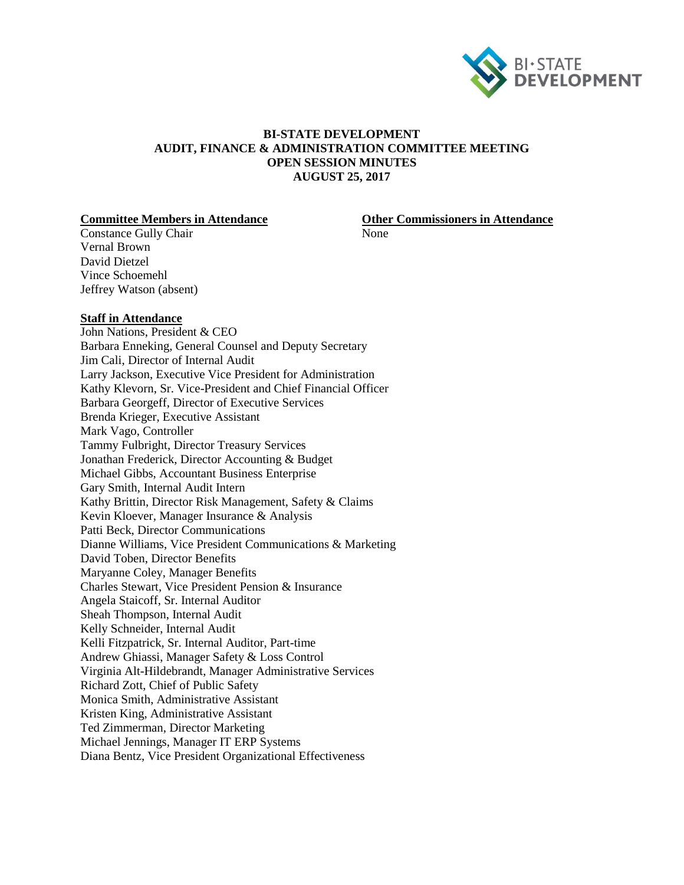

## **BI-STATE DEVELOPMENT AUDIT, FINANCE & ADMINISTRATION COMMITTEE MEETING OPEN SESSION MINUTES AUGUST 25, 2017**

**Committee Members in Attendance Other Commissioners in Attendance**

Constance Gully Chair None Vernal Brown David Dietzel Vince Schoemehl Jeffrey Watson (absent)

### **Staff in Attendance**

John Nations, President & CEO Barbara Enneking, General Counsel and Deputy Secretary Jim Cali, Director of Internal Audit Larry Jackson, Executive Vice President for Administration Kathy Klevorn, Sr. Vice-President and Chief Financial Officer Barbara Georgeff, Director of Executive Services Brenda Krieger, Executive Assistant Mark Vago, Controller Tammy Fulbright, Director Treasury Services Jonathan Frederick, Director Accounting & Budget Michael Gibbs, Accountant Business Enterprise Gary Smith, Internal Audit Intern Kathy Brittin, Director Risk Management, Safety & Claims Kevin Kloever, Manager Insurance & Analysis Patti Beck, Director Communications Dianne Williams, Vice President Communications & Marketing David Toben, Director Benefits Maryanne Coley, Manager Benefits Charles Stewart, Vice President Pension & Insurance Angela Staicoff, Sr. Internal Auditor Sheah Thompson, Internal Audit Kelly Schneider, Internal Audit Kelli Fitzpatrick, Sr. Internal Auditor, Part-time Andrew Ghiassi, Manager Safety & Loss Control Virginia Alt-Hildebrandt, Manager Administrative Services Richard Zott, Chief of Public Safety Monica Smith, Administrative Assistant Kristen King, Administrative Assistant Ted Zimmerman, Director Marketing Michael Jennings, Manager IT ERP Systems Diana Bentz, Vice President Organizational Effectiveness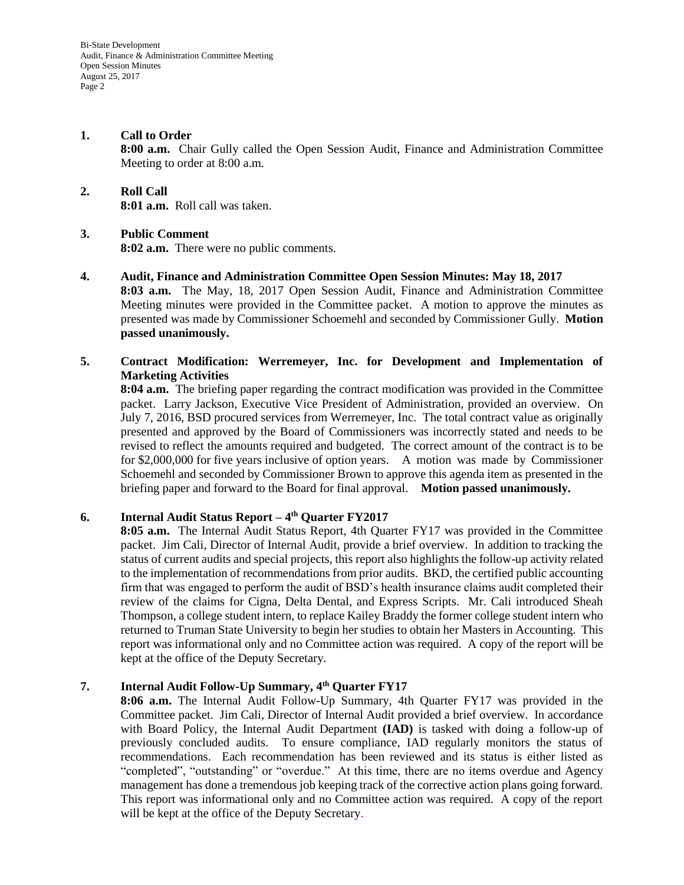Bi-State Development Audit, Finance & Administration Committee Meeting Open Session Minutes August 25, 2017 Page 2

# **1. Call to Order 8:00 a.m.** Chair Gully called the Open Session Audit, Finance and Administration Committee Meeting to order at 8:00 a.m.

**2. Roll Call 8:01 a.m.** Roll call was taken.

# **3. Public Comment**

**8:02 a.m.** There were no public comments.

**4. Audit, Finance and Administration Committee Open Session Minutes: May 18, 2017 8:03 a.m.** The May, 18, 2017 Open Session Audit, Finance and Administration Committee Meeting minutes were provided in the Committee packet. A motion to approve the minutes as presented was made by Commissioner Schoemehl and seconded by Commissioner Gully. **Motion passed unanimously.**

# **5. Contract Modification: Werremeyer, Inc. for Development and Implementation of Marketing Activities**

**8:04 a.m.** The briefing paper regarding the contract modification was provided in the Committee packet. Larry Jackson, Executive Vice President of Administration, provided an overview. On July 7, 2016, BSD procured services from Werremeyer, Inc. The total contract value as originally presented and approved by the Board of Commissioners was incorrectly stated and needs to be revised to reflect the amounts required and budgeted. The correct amount of the contract is to be for \$2,000,000 for five years inclusive of option years. A motion was made by Commissioner Schoemehl and seconded by Commissioner Brown to approve this agenda item as presented in the briefing paper and forward to the Board for final approval. **Motion passed unanimously.**

# **6. Internal Audit Status Report – 4 th Quarter FY2017**

**8:05 a.m.** The Internal Audit Status Report, 4th Quarter FY17 was provided in the Committee packet. Jim Cali, Director of Internal Audit, provide a brief overview. In addition to tracking the status of current audits and special projects, this report also highlights the follow-up activity related to the implementation of recommendations from prior audits. BKD, the certified public accounting firm that was engaged to perform the audit of BSD's health insurance claims audit completed their review of the claims for Cigna, Delta Dental, and Express Scripts. Mr. Cali introduced Sheah Thompson, a college student intern, to replace Kailey Braddy the former college student intern who returned to Truman State University to begin her studies to obtain her Masters in Accounting. This report was informational only and no Committee action was required. A copy of the report will be kept at the office of the Deputy Secretary.

## **7. Internal Audit Follow-Up Summary, 4th Quarter FY17**

**8:06 a.m.** The Internal Audit Follow-Up Summary, 4th Quarter FY17 was provided in the Committee packet. Jim Cali, Director of Internal Audit provided a brief overview. In accordance with Board Policy, the Internal Audit Department **(IAD)** is tasked with doing a follow-up of previously concluded audits. To ensure compliance, IAD regularly monitors the status of recommendations. Each recommendation has been reviewed and its status is either listed as "completed", "outstanding" or "overdue." At this time, there are no items overdue and Agency management has done a tremendous job keeping track of the corrective action plans going forward. This report was informational only and no Committee action was required. A copy of the report will be kept at the office of the Deputy Secretary.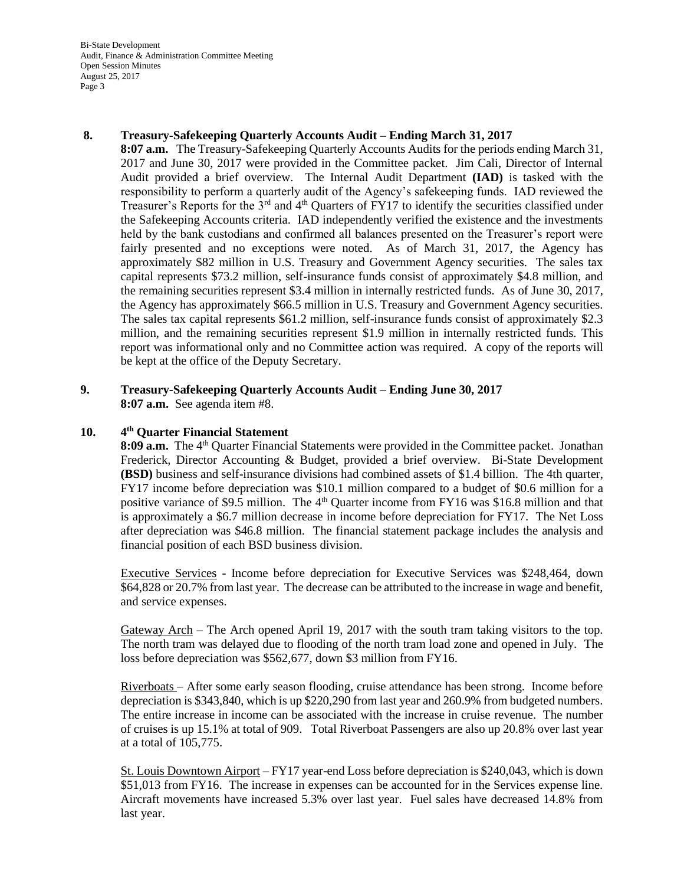Bi-State Development Audit, Finance & Administration Committee Meeting Open Session Minutes August 25, 2017 Page 3

## **8. Treasury-Safekeeping Quarterly Accounts Audit – Ending March 31, 2017**

**8:07 a.m.** The Treasury-Safekeeping Quarterly Accounts Audits for the periods ending March 31, 2017 and June 30, 2017 were provided in the Committee packet. Jim Cali, Director of Internal Audit provided a brief overview. The Internal Audit Department **(IAD)** is tasked with the responsibility to perform a quarterly audit of the Agency's safekeeping funds. IAD reviewed the Treasurer's Reports for the  $3<sup>rd</sup>$  and  $4<sup>th</sup>$  Quarters of FY17 to identify the securities classified under the Safekeeping Accounts criteria. IAD independently verified the existence and the investments held by the bank custodians and confirmed all balances presented on the Treasurer's report were fairly presented and no exceptions were noted. As of March 31, 2017, the Agency has approximately \$82 million in U.S. Treasury and Government Agency securities. The sales tax capital represents \$73.2 million, self-insurance funds consist of approximately \$4.8 million, and the remaining securities represent \$3.4 million in internally restricted funds. As of June 30, 2017, the Agency has approximately \$66.5 million in U.S. Treasury and Government Agency securities. The sales tax capital represents \$61.2 million, self-insurance funds consist of approximately \$2.3 million, and the remaining securities represent \$1.9 million in internally restricted funds. This report was informational only and no Committee action was required. A copy of the reports will be kept at the office of the Deputy Secretary.

### **9. Treasury-Safekeeping Quarterly Accounts Audit – Ending June 30, 2017 8:07 a.m.** See agenda item #8.

### **10. th Quarter Financial Statement**

8:09 **a.m.** The 4<sup>th</sup> Quarter Financial Statements were provided in the Committee packet. Jonathan Frederick, Director Accounting & Budget, provided a brief overview. Bi-State Development **(BSD)** business and self-insurance divisions had combined assets of \$1.4 billion. The 4th quarter, FY17 income before depreciation was \$10.1 million compared to a budget of \$0.6 million for a positive variance of \$9.5 million. The 4<sup>th</sup> Quarter income from FY16 was \$16.8 million and that is approximately a \$6.7 million decrease in income before depreciation for FY17. The Net Loss after depreciation was \$46.8 million. The financial statement package includes the analysis and financial position of each BSD business division.

 Executive Services - Income before depreciation for Executive Services was \$248,464, down \$64,828 or 20.7% from last year. The decrease can be attributed to the increase in wage and benefit, and service expenses.

Gateway Arch – The Arch opened April 19, 2017 with the south tram taking visitors to the top. The north tram was delayed due to flooding of the north tram load zone and opened in July. The loss before depreciation was \$562,677, down \$3 million from FY16.

Riverboats – After some early season flooding, cruise attendance has been strong. Income before depreciation is \$343,840, which is up \$220,290 from last year and 260.9% from budgeted numbers. The entire increase in income can be associated with the increase in cruise revenue. The number of cruises is up 15.1% at total of 909. Total Riverboat Passengers are also up 20.8% over last year at a total of 105,775.

St. Louis Downtown Airport – FY17 year-end Loss before depreciation is \$240,043, which is down \$51,013 from FY16. The increase in expenses can be accounted for in the Services expense line. Aircraft movements have increased 5.3% over last year. Fuel sales have decreased 14.8% from last year.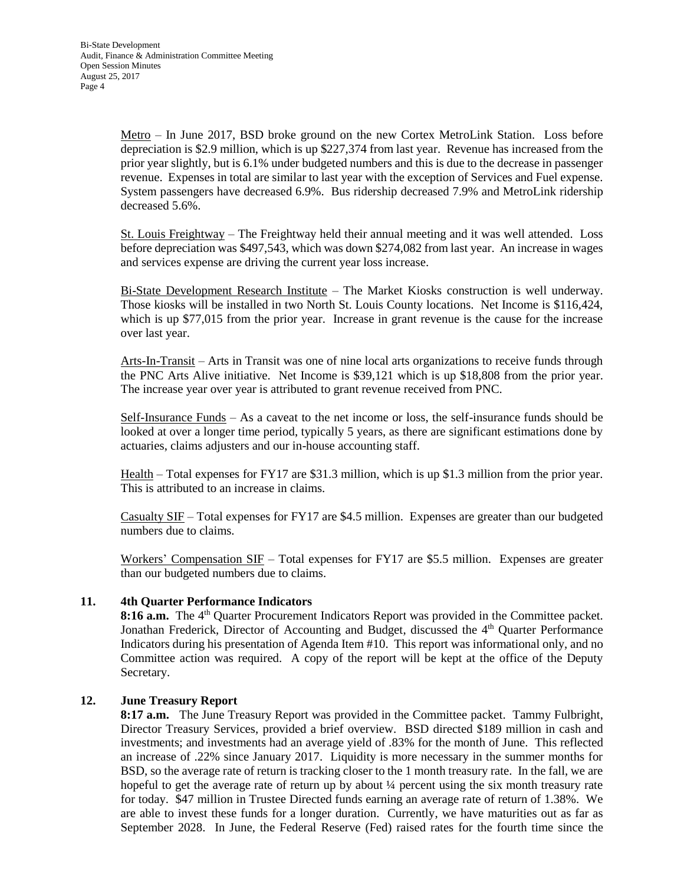Metro – In June 2017, BSD broke ground on the new Cortex MetroLink Station. Loss before depreciation is \$2.9 million, which is up \$227,374 from last year. Revenue has increased from the prior year slightly, but is 6.1% under budgeted numbers and this is due to the decrease in passenger revenue. Expenses in total are similar to last year with the exception of Services and Fuel expense. System passengers have decreased 6.9%. Bus ridership decreased 7.9% and MetroLink ridership decreased 5.6%.

St. Louis Freightway – The Freightway held their annual meeting and it was well attended. Loss before depreciation was \$497,543, which was down \$274,082 from last year. An increase in wages and services expense are driving the current year loss increase.

Bi-State Development Research Institute – The Market Kiosks construction is well underway. Those kiosks will be installed in two North St. Louis County locations. Net Income is \$116,424, which is up \$77,015 from the prior year. Increase in grant revenue is the cause for the increase over last year.

Arts-In-Transit – Arts in Transit was one of nine local arts organizations to receive funds through the PNC Arts Alive initiative. Net Income is \$39,121 which is up \$18,808 from the prior year. The increase year over year is attributed to grant revenue received from PNC.

Self-Insurance Funds – As a caveat to the net income or loss, the self-insurance funds should be looked at over a longer time period, typically 5 years, as there are significant estimations done by actuaries, claims adjusters and our in-house accounting staff.

Health – Total expenses for FY17 are \$31.3 million, which is up \$1.3 million from the prior year. This is attributed to an increase in claims.

Casualty SIF – Total expenses for FY17 are \$4.5 million. Expenses are greater than our budgeted numbers due to claims.

Workers' Compensation SIF – Total expenses for FY17 are \$5.5 million. Expenses are greater than our budgeted numbers due to claims.

## **11. 4th Quarter Performance Indicators**

8:16 **a.m.** The 4<sup>th</sup> Quarter Procurement Indicators Report was provided in the Committee packet. Jonathan Frederick, Director of Accounting and Budget, discussed the 4<sup>th</sup> Quarter Performance Indicators during his presentation of Agenda Item #10. This report was informational only, and no Committee action was required. A copy of the report will be kept at the office of the Deputy Secretary.

## **12. June Treasury Report**

**8:17 a.m.** The June Treasury Report was provided in the Committee packet. Tammy Fulbright, Director Treasury Services, provided a brief overview. BSD directed \$189 million in cash and investments; and investments had an average yield of .83% for the month of June. This reflected an increase of .22% since January 2017. Liquidity is more necessary in the summer months for BSD, so the average rate of return is tracking closer to the 1 month treasury rate. In the fall, we are hopeful to get the average rate of return up by about 1/4 percent using the six month treasury rate for today. \$47 million in Trustee Directed funds earning an average rate of return of 1.38%. We are able to invest these funds for a longer duration. Currently, we have maturities out as far as September 2028. In June, the Federal Reserve (Fed) raised rates for the fourth time since the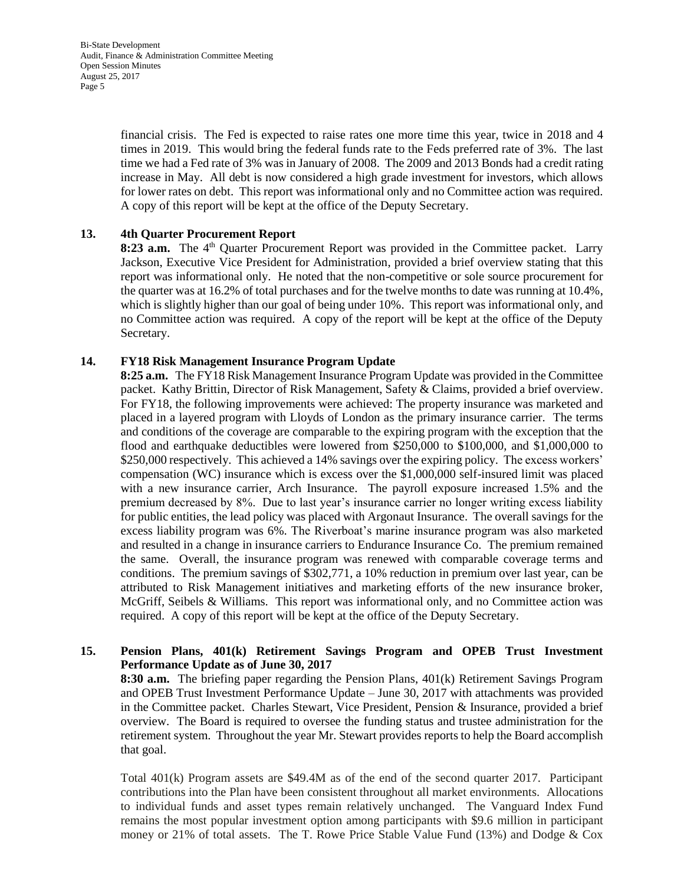Bi-State Development Audit, Finance & Administration Committee Meeting Open Session Minutes August 25, 2017 Page 5

> financial crisis. The Fed is expected to raise rates one more time this year, twice in 2018 and 4 times in 2019. This would bring the federal funds rate to the Feds preferred rate of 3%. The last time we had a Fed rate of 3% was in January of 2008. The 2009 and 2013 Bonds had a credit rating increase in May. All debt is now considered a high grade investment for investors, which allows for lower rates on debt. This report was informational only and no Committee action was required. A copy of this report will be kept at the office of the Deputy Secretary.

## **13. 4th Quarter Procurement Report**

8:23 **a.m.** The 4<sup>th</sup> Quarter Procurement Report was provided in the Committee packet. Larry Jackson, Executive Vice President for Administration, provided a brief overview stating that this report was informational only. He noted that the non-competitive or sole source procurement for the quarter was at 16.2% of total purchases and for the twelve months to date was running at 10.4%, which is slightly higher than our goal of being under 10%. This report was informational only, and no Committee action was required. A copy of the report will be kept at the office of the Deputy Secretary.

## **14. FY18 Risk Management Insurance Program Update**

**8:25 a.m.** The FY18 Risk Management Insurance Program Update was provided in the Committee packet.Kathy Brittin, Director of Risk Management, Safety & Claims, provided a brief overview. For FY18, the following improvements were achieved: The property insurance was marketed and placed in a layered program with Lloyds of London as the primary insurance carrier. The terms and conditions of the coverage are comparable to the expiring program with the exception that the flood and earthquake deductibles were lowered from \$250,000 to \$100,000, and \$1,000,000 to \$250,000 respectively. This achieved a 14% savings over the expiring policy. The excess workers' compensation (WC) insurance which is excess over the \$1,000,000 self-insured limit was placed with a new insurance carrier, Arch Insurance. The payroll exposure increased 1.5% and the premium decreased by 8%. Due to last year's insurance carrier no longer writing excess liability for public entities, the lead policy was placed with Argonaut Insurance. The overall savings for the excess liability program was 6%. The Riverboat's marine insurance program was also marketed and resulted in a change in insurance carriers to Endurance Insurance Co. The premium remained the same. Overall, the insurance program was renewed with comparable coverage terms and conditions. The premium savings of \$302,771, a 10% reduction in premium over last year, can be attributed to Risk Management initiatives and marketing efforts of the new insurance broker, McGriff, Seibels & Williams. This report was informational only, and no Committee action was required. A copy of this report will be kept at the office of the Deputy Secretary.

## **15. Pension Plans, 401(k) Retirement Savings Program and OPEB Trust Investment Performance Update as of June 30, 2017**

**8:30 a.m.** The briefing paper regarding the Pension Plans, 401(k) Retirement Savings Program and OPEB Trust Investment Performance Update – June 30, 2017 with attachments was provided in the Committee packet. Charles Stewart, Vice President, Pension & Insurance, provided a brief overview. The Board is required to oversee the funding status and trustee administration for the retirement system. Throughout the year Mr. Stewart provides reports to help the Board accomplish that goal.

Total 401(k) Program assets are \$49.4M as of the end of the second quarter 2017. Participant contributions into the Plan have been consistent throughout all market environments. Allocations to individual funds and asset types remain relatively unchanged. The Vanguard Index Fund remains the most popular investment option among participants with \$9.6 million in participant money or 21% of total assets. The T. Rowe Price Stable Value Fund (13%) and Dodge & Cox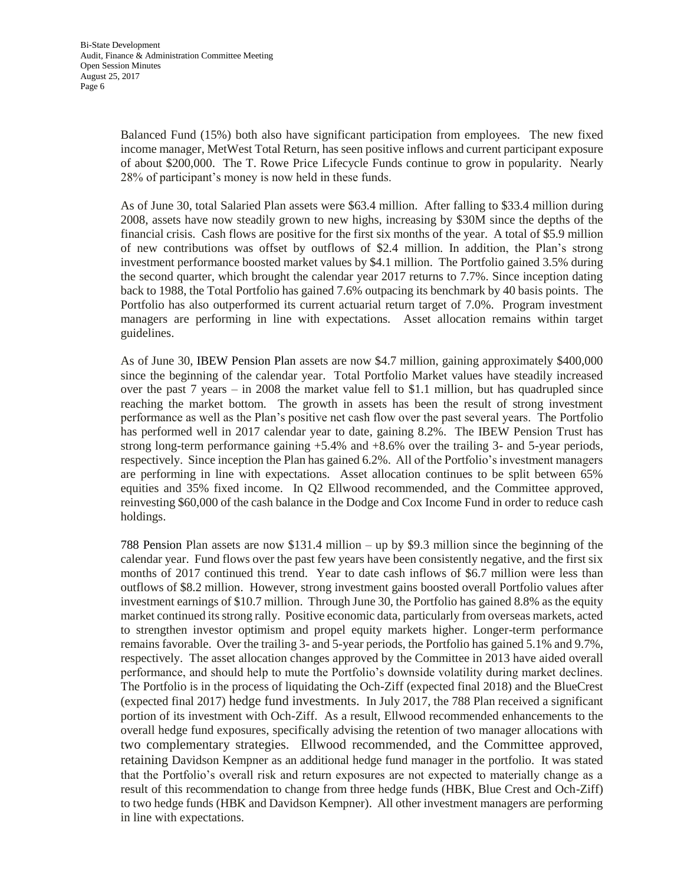Balanced Fund (15%) both also have significant participation from employees. The new fixed income manager, MetWest Total Return, has seen positive inflows and current participant exposure of about \$200,000. The T. Rowe Price Lifecycle Funds continue to grow in popularity. Nearly 28% of participant's money is now held in these funds.

As of June 30, total Salaried Plan assets were \$63.4 million. After falling to \$33.4 million during 2008, assets have now steadily grown to new highs, increasing by \$30M since the depths of the financial crisis. Cash flows are positive for the first six months of the year. A total of \$5.9 million of new contributions was offset by outflows of \$2.4 million. In addition, the Plan's strong investment performance boosted market values by \$4.1 million. The Portfolio gained 3.5% during the second quarter, which brought the calendar year 2017 returns to 7.7%. Since inception dating back to 1988, the Total Portfolio has gained 7.6% outpacing its benchmark by 40 basis points. The Portfolio has also outperformed its current actuarial return target of 7.0%. Program investment managers are performing in line with expectations. Asset allocation remains within target guidelines.

As of June 30, IBEW Pension Plan assets are now \$4.7 million, gaining approximately \$400,000 since the beginning of the calendar year. Total Portfolio Market values have steadily increased over the past  $7$  years  $-$  in 2008 the market value fell to \$1.1 million, but has quadrupled since reaching the market bottom. The growth in assets has been the result of strong investment performance as well as the Plan's positive net cash flow over the past several years. The Portfolio has performed well in 2017 calendar year to date, gaining 8.2%. The IBEW Pension Trust has strong long-term performance gaining +5.4% and +8.6% over the trailing 3- and 5-year periods, respectively. Since inception the Plan has gained 6.2%. All of the Portfolio's investment managers are performing in line with expectations. Asset allocation continues to be split between 65% equities and 35% fixed income. In Q2 Ellwood recommended, and the Committee approved, reinvesting \$60,000 of the cash balance in the Dodge and Cox Income Fund in order to reduce cash holdings.

788 Pension Plan assets are now \$131.4 million – up by \$9.3 million since the beginning of the calendar year. Fund flows over the past few years have been consistently negative, and the first six months of 2017 continued this trend. Year to date cash inflows of \$6.7 million were less than outflows of \$8.2 million. However, strong investment gains boosted overall Portfolio values after investment earnings of \$10.7 million. Through June 30, the Portfolio has gained 8.8% as the equity market continued its strong rally. Positive economic data, particularly from overseas markets, acted to strengthen investor optimism and propel equity markets higher. Longer-term performance remains favorable. Over the trailing 3- and 5-year periods, the Portfolio has gained 5.1% and 9.7%, respectively. The asset allocation changes approved by the Committee in 2013 have aided overall performance, and should help to mute the Portfolio's downside volatility during market declines. The Portfolio is in the process of liquidating the Och-Ziff (expected final 2018) and the BlueCrest (expected final 2017) hedge fund investments. In July 2017, the 788 Plan received a significant portion of its investment with Och-Ziff. As a result, Ellwood recommended enhancements to the overall hedge fund exposures, specifically advising the retention of two manager allocations with two complementary strategies. Ellwood recommended, and the Committee approved, retaining Davidson Kempner as an additional hedge fund manager in the portfolio. It was stated that the Portfolio's overall risk and return exposures are not expected to materially change as a result of this recommendation to change from three hedge funds (HBK, Blue Crest and Och-Ziff) to two hedge funds (HBK and Davidson Kempner). All other investment managers are performing in line with expectations.